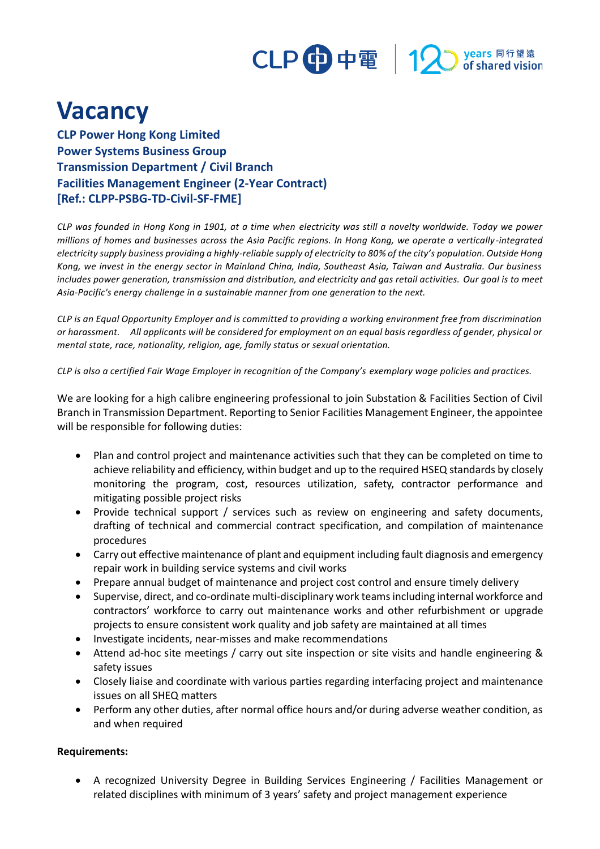

## **Vacancy**

**CLP Power Hong Kong Limited Power Systems Business Group Transmission Department / Civil Branch Facilities Management Engineer (2-Year Contract) [Ref.: CLPP-PSBG-TD-Civil-SF-FME]**

*CLP was founded in Hong Kong in 1901, at a time when electricity was still a novelty worldwide. Today we power millions of homes and businesses across the Asia Pacific regions. In Hong Kong, we operate a vertically -integrated electricity supply business providing a highly-reliable supply of electricity to 80% of the city's population. Outside Hong Kong, we invest in the energy sector in Mainland China, India, Southeast Asia, Taiwan and Australia. Our business includes power generation, transmission and distribution, and electricity and gas retail activities. Our goal is to meet Asia-Pacific's energy challenge in a sustainable manner from one generation to the next.*

*CLP is an Equal Opportunity Employer and is committed to providing a working environment free from discrimination or harassment. All applicants will be considered for employment on an equal basis regardless of gender, physical or mental state, race, nationality, religion, age, family status or sexual orientation.*

*CLP is also a certified Fair Wage Employer in recognition of the Company's exemplary wage policies and practices.* 

We are looking for a high calibre engineering professional to join Substation & Facilities Section of Civil Branch in Transmission Department. Reporting to Senior Facilities Management Engineer, the appointee will be responsible for following duties:

- Plan and control project and maintenance activities such that they can be completed on time to achieve reliability and efficiency, within budget and up to the required HSEQ standards by closely monitoring the program, cost, resources utilization, safety, contractor performance and mitigating possible project risks
- Provide technical support / services such as review on engineering and safety documents, drafting of technical and commercial contract specification, and compilation of maintenance procedures
- Carry out effective maintenance of plant and equipment including fault diagnosis and emergency repair work in building service systems and civil works
- Prepare annual budget of maintenance and project cost control and ensure timely delivery
- Supervise, direct, and co-ordinate multi-disciplinary work teams including internal workforce and contractors' workforce to carry out maintenance works and other refurbishment or upgrade projects to ensure consistent work quality and job safety are maintained at all times
- Investigate incidents, near-misses and make recommendations
- Attend ad-hoc site meetings / carry out site inspection or site visits and handle engineering & safety issues
- Closely liaise and coordinate with various parties regarding interfacing project and maintenance issues on all SHEQ matters
- Perform any other duties, after normal office hours and/or during adverse weather condition, as and when required

## **Requirements:**

• A recognized University Degree in Building Services Engineering / Facilities Management or related disciplines with minimum of 3 years' safety and project management experience